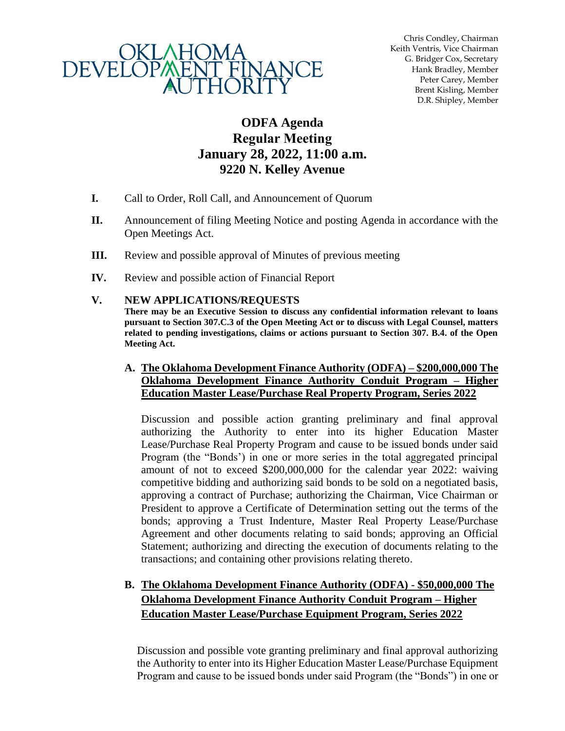

Chris Condley, Chairman Keith Ventris, Vice Chairman G. Bridger Cox, Secretary Hank Bradley, Member Peter Carey, Member Brent Kisling, Member D.R. Shipley, Member

# **ODFA Agenda Regular Meeting January 28, 2022, 11:00 a.m. 9220 N. Kelley Avenue**

- **I.** Call to Order, Roll Call, and Announcement of Quorum
- **II.** Announcement of filing Meeting Notice and posting Agenda in accordance with the Open Meetings Act.
- **III.** Review and possible approval of Minutes of previous meeting
- **IV.** Review and possible action of Financial Report

#### **V. NEW APPLICATIONS/REQUESTS**

**There may be an Executive Session to discuss any confidential information relevant to loans pursuant to Section 307.C.3 of the Open Meeting Act or to discuss with Legal Counsel, matters related to pending investigations, claims or actions pursuant to Section 307. B.4. of the Open Meeting Act.**

#### **A. The Oklahoma Development Finance Authority (ODFA) – \$200,000,000 The Oklahoma Development Finance Authority Conduit Program – Higher Education Master Lease/Purchase Real Property Program, Series 2022**

Discussion and possible action granting preliminary and final approval authorizing the Authority to enter into its higher Education Master Lease/Purchase Real Property Program and cause to be issued bonds under said Program (the "Bonds') in one or more series in the total aggregated principal amount of not to exceed \$200,000,000 for the calendar year 2022: waiving competitive bidding and authorizing said bonds to be sold on a negotiated basis, approving a contract of Purchase; authorizing the Chairman, Vice Chairman or President to approve a Certificate of Determination setting out the terms of the bonds; approving a Trust Indenture, Master Real Property Lease/Purchase Agreement and other documents relating to said bonds; approving an Official Statement; authorizing and directing the execution of documents relating to the transactions; and containing other provisions relating thereto.

# **B. The Oklahoma Development Finance Authority (ODFA) - \$50,000,000 The Oklahoma Development Finance Authority Conduit Program – Higher Education Master Lease/Purchase Equipment Program, Series 2022**

Discussion and possible vote granting preliminary and final approval authorizing the Authority to enter into its Higher Education Master Lease/Purchase Equipment Program and cause to be issued bonds under said Program (the "Bonds") in one or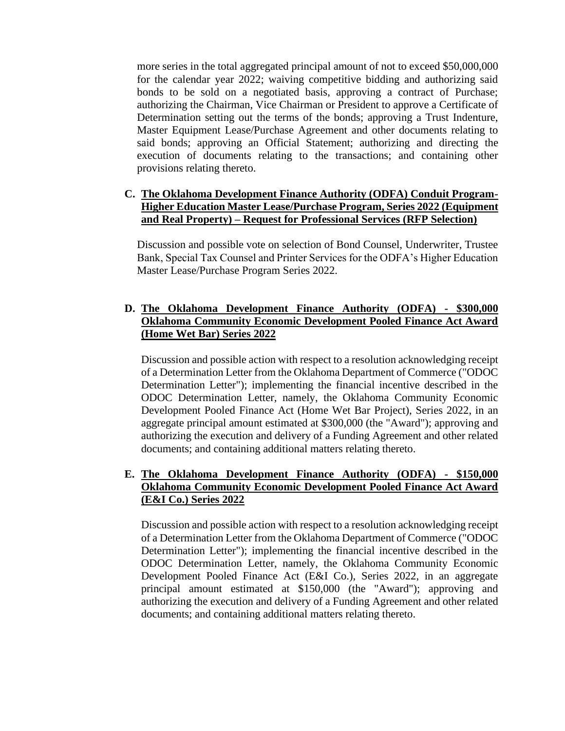more series in the total aggregated principal amount of not to exceed \$50,000,000 for the calendar year 2022; waiving competitive bidding and authorizing said bonds to be sold on a negotiated basis, approving a contract of Purchase; authorizing the Chairman, Vice Chairman or President to approve a Certificate of Determination setting out the terms of the bonds; approving a Trust Indenture, Master Equipment Lease/Purchase Agreement and other documents relating to said bonds; approving an Official Statement; authorizing and directing the execution of documents relating to the transactions; and containing other provisions relating thereto.

#### **C. The Oklahoma Development Finance Authority (ODFA) Conduit Program-Higher Education Master Lease/Purchase Program, Series 2022 (Equipment and Real Property) – Request for Professional Services (RFP Selection)**

Discussion and possible vote on selection of Bond Counsel, Underwriter, Trustee Bank, Special Tax Counsel and Printer Services for the ODFA's Higher Education Master Lease/Purchase Program Series 2022.

### **D. The Oklahoma Development Finance Authority (ODFA) - \$300,000 Oklahoma Community Economic Development Pooled Finance Act Award (Home Wet Bar) Series 2022**

Discussion and possible action with respect to a resolution acknowledging receipt of a Determination Letter from the Oklahoma Department of Commerce ("ODOC Determination Letter"); implementing the financial incentive described in the ODOC Determination Letter, namely, the Oklahoma Community Economic Development Pooled Finance Act (Home Wet Bar Project), Series 2022, in an aggregate principal amount estimated at \$300,000 (the "Award"); approving and authorizing the execution and delivery of a Funding Agreement and other related documents; and containing additional matters relating thereto.

### **E. The Oklahoma Development Finance Authority (ODFA) - \$150,000 Oklahoma Community Economic Development Pooled Finance Act Award (E&I Co.) Series 2022**

Discussion and possible action with respect to a resolution acknowledging receipt of a Determination Letter from the Oklahoma Department of Commerce ("ODOC Determination Letter"); implementing the financial incentive described in the ODOC Determination Letter, namely, the Oklahoma Community Economic Development Pooled Finance Act (E&I Co.), Series 2022, in an aggregate principal amount estimated at \$150,000 (the "Award"); approving and authorizing the execution and delivery of a Funding Agreement and other related documents; and containing additional matters relating thereto.